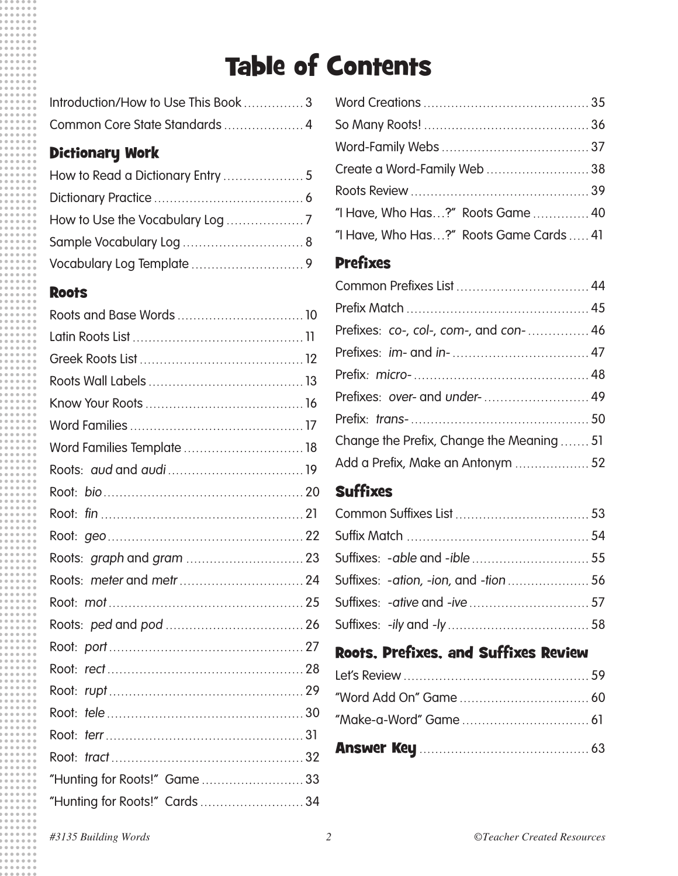# Table of Contents

| Introduction/How to Use This Book 3 |  |
|-------------------------------------|--|
| Common Core State Standards  4      |  |

### Dictionary Work

### **Roots**

| Word Families Template  18   |  |
|------------------------------|--|
|                              |  |
|                              |  |
|                              |  |
|                              |  |
|                              |  |
|                              |  |
|                              |  |
|                              |  |
|                              |  |
|                              |  |
|                              |  |
|                              |  |
|                              |  |
|                              |  |
| "Hunting for Roots!" Game33  |  |
| "Hunting for Roots!" Cards34 |  |
|                              |  |

| Create a Word-Family Web38              |  |
|-----------------------------------------|--|
|                                         |  |
| "I Have, Who Has?" Roots Game40         |  |
| "I Have, Who Has?" Roots Game Cards  41 |  |

### Prefixes

| Prefixes: co-, col-, com-, and con-46    |  |
|------------------------------------------|--|
|                                          |  |
|                                          |  |
|                                          |  |
|                                          |  |
| Change the Prefix, Change the Meaning 51 |  |
| Add a Prefix, Make an Antonym  52        |  |

## 0 **Suffixes**

### Roots, Prefixes, and Suffixes Review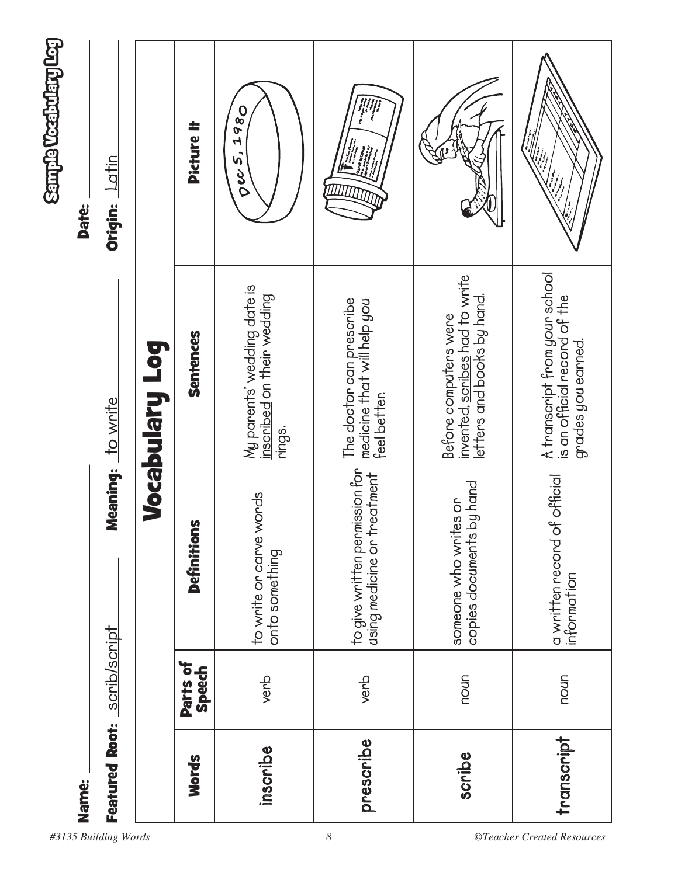| Name:                 |                    |                                                               |                                                                                            | <b>Sample Weaktharg Log</b><br><b>Date:</b> |
|-----------------------|--------------------|---------------------------------------------------------------|--------------------------------------------------------------------------------------------|---------------------------------------------|
| <b>Featured Root:</b> | scrib/script       |                                                               | Meaning: to write                                                                          | Latin<br>Origin:                            |
|                       |                    |                                                               | Vocabulary Log                                                                             |                                             |
| <b>Words</b>          | Parts of<br>Speech | <u>ဖ</u><br>Definition                                        | Sentences                                                                                  | <b>Picture It</b>                           |
| inscribe              | verb               | words<br>to write or carve<br>onto something                  | My parents' wedding date is<br>inscribed on their wedding<br>rings.                        | 1980<br>$\sigma$ ec 5,                      |
| prescribe             | verb               | to give written permission for<br>using medicine or treatment | The doctor can prescribe<br>medicine that will help you<br>feel better.                    |                                             |
| scribe                | noun               | copies documents by hand<br>someone who writes or             | invented, soribes had to write<br>letters and books by hand.<br>Before computers were      |                                             |
| transcript            | noun               | a written record of official<br>information                   | A <u>transcript</u> from your school<br>is an official record of the<br>grades you earned. |                                             |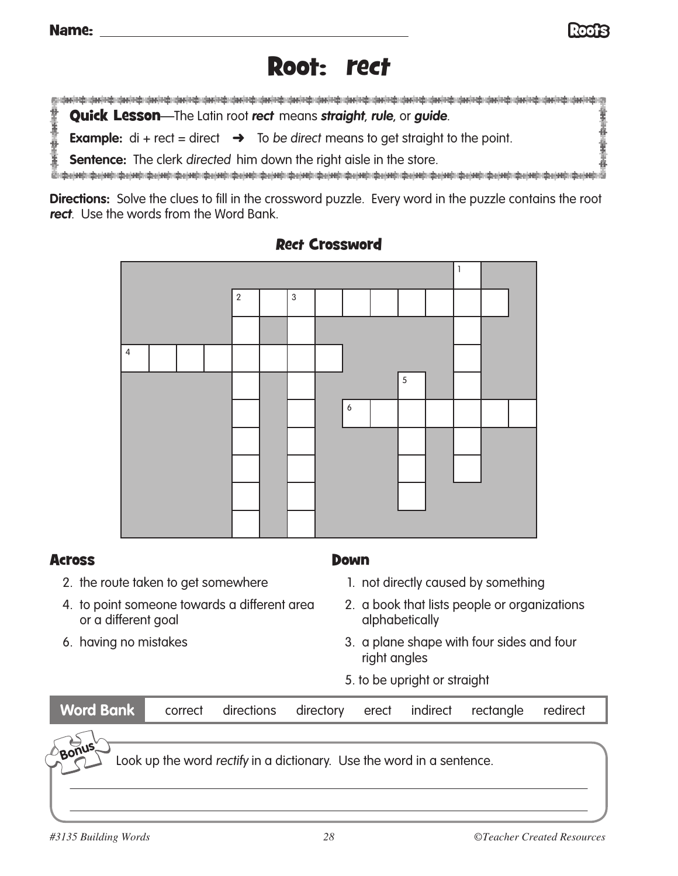

# Root: rect

计主中分子式 Quick Lesson—The Latin root **rect** means **straight**, **rule**, or **guide**.

**Example:**  $di + rect = direct$   $\rightarrow$  To be direct means to get straight to the point.

**Sentence:** The clerk directed him down the right aisle in the store.

**Directions:** Solve the clues to fill in the crossword puzzle. Every word in the puzzle contains the root **rect**. Use the words from the Word Bank.



### Rect Crossword

#### **Across**

- 2. the route taken to get somewhere
- 4. to point someone towards a different area or a different goal
- 6. having no mistakes
- Down
	- 1. not directly caused by something
	- 2. a book that lists people or organizations alphabetically
	- 3. a plane shape with four sides and four right angles
	- 5. to be upright or straight

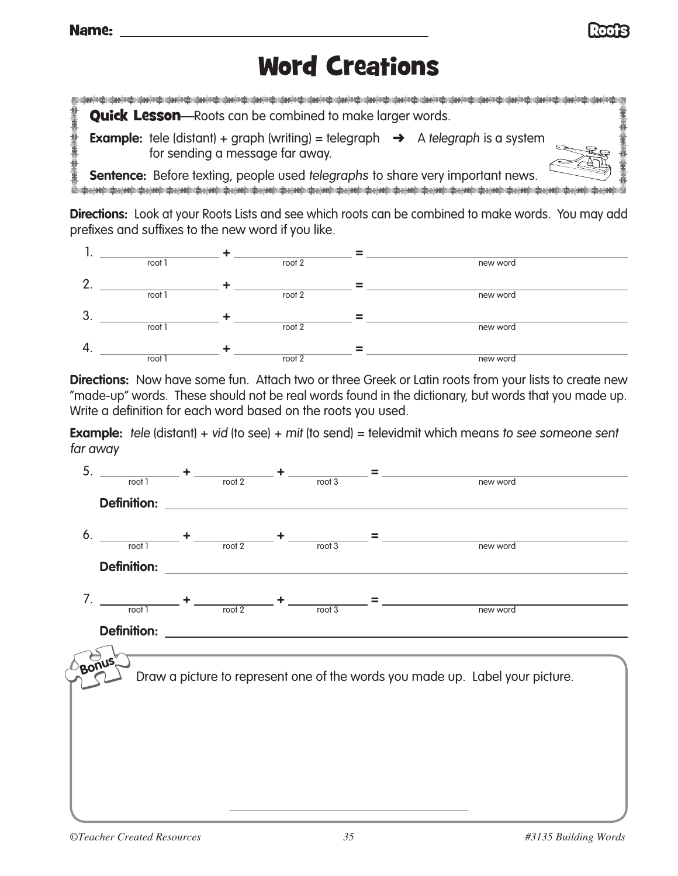

# Word Creations

计主编码 计字母 **Quick Lesson**—Roots can be combined to make larger words. **Example:** tele (distant) + graph (writing) = telegraph  $\rightarrow$  A telegraph is a system for sending a message far away. Đ

**Sentence:** Before texting, people used telegraphs to share very important news. **The construction of the construction** 

**Directions:** Look at your Roots Lists and see which roots can be combined to make words. You may add prefixes and suffixes to the new word if you like.



**Directions:** Now have some fun. Attach two or three Greek or Latin roots from your lists to create new "made-up" words. These should not be real words found in the dictionary, but words that you made up. Write a definition for each word based on the roots you used.

**Example:** tele (distant) + vid (to see) + mit (to send) = televidmit which means to see someone sent far away

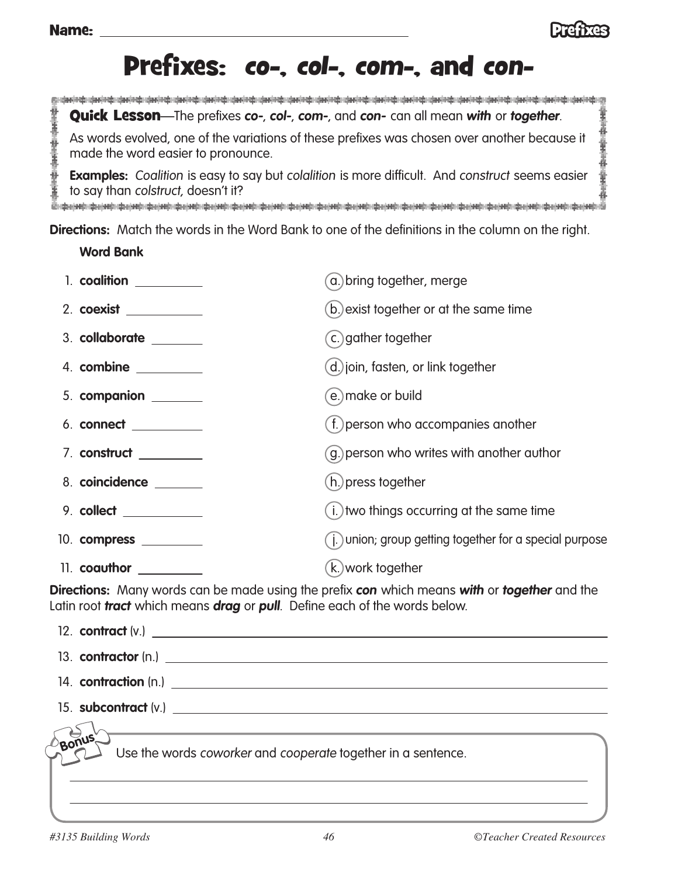

# Prefixes: co-, col-, com-, and con-

计连接通信 计连接连接 Quick Lesson—The prefixes **co-**, **col-**, **com-**, and **con-** can all mean **with** or **together**. As words evolved, one of the variations of these prefixes was chosen over another because it made the word easier to pronounce.

**Examples:** Coalition is easy to say but colalition is more difficult. And construct seems easier to say than colstruct, doesn't it?

**Directions:** Match the words in the Word Bank to one of the definitions in the column on the right.

**Word Bank**

| 1. coalition                                                                                                   | a.) bring together, merge                                |
|----------------------------------------------------------------------------------------------------------------|----------------------------------------------------------|
| 2. coexist ___________                                                                                         | (b.) exist together or at the same time                  |
| 3. collaborate ______                                                                                          | c.) gather together                                      |
| 4. combine ________                                                                                            | d.) join, fasten, or link together                       |
| 5. companion _____                                                                                             | e.) make or build                                        |
| 6. connect __________                                                                                          | (f.) person who accompanies another                      |
| 7. construct _________                                                                                         | g.) person who writes with another author                |
| 8. coincidence ______                                                                                          | (h.) press together                                      |
| 9. collect __________                                                                                          | (i.) two things occurring at the same time               |
| 10. compress _________                                                                                         | (i.) union; group getting together for a special purpose |
| 11. coauthor $\frac{1}{\sqrt{1-\frac{1}{2}}\cdot\frac{1}{\sqrt{1-\frac{1}{2}}}}$                               | (k.) work together                                       |
| reading the second contract of the second contract of the second contract of the second contract of the second |                                                          |

**Directions:** Many words can be made using the prefix **con** which means **with** or **together** and the Latin root **tract** which means **drag** or **pull**. Define each of the words below.

|       | 13. contractor (n.)                                          |
|-------|--------------------------------------------------------------|
|       |                                                              |
|       |                                                              |
| Bonus | Use the words coworker and cooperate together in a sentence. |